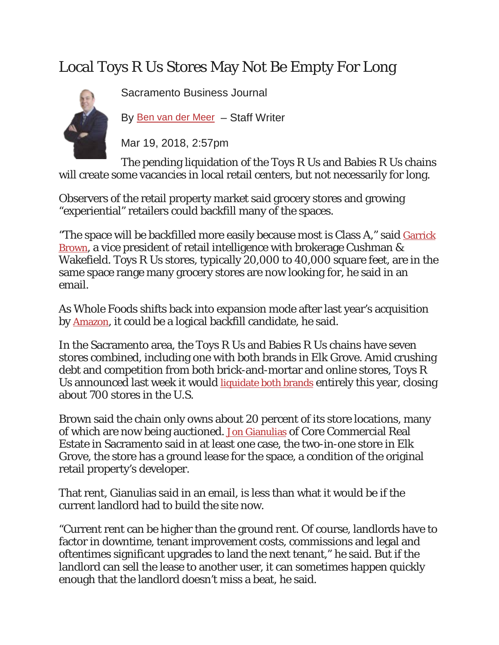## Local To[ys R Us Stores May Not Be Empty For Long](https://www.bizjournals.com/sacramento/bio/15911/Ben+van+der+Meer)



[Sacramento Business Journal](https://www.bizjournals.com/sacramento/bio/15911/Ben+van+der+Meer)

By Ben van der [Meer](https://www.bizjournals.com/sacramento/bio/15911/Ben+van+der+Meer) – Staff Writer

Mar 19, 2018, 2:57pm

The pending liquidation of the Toys R Us and Babies R Us chains will create some vacancies in local retail centers, but not necessarily for long.

Observers of the retail property market said grocery stores and growing "experiential" retailers could backfill many of the spaces.

"The space will be backfilled more easily because most is Class A," said **Garrick** [Brown,](https://www.bizjournals.com/sacramento/search/results?q=Garrick%20Brown) a vice president of retail intelligence with brokerage Cushman & Wakefield. Toys R Us stores, typically 20,000 to 40,000 square feet, are in the same space range many grocery stores are now looking for, he said in an email.

As Whole Foods shifts back into expansion mode after last year's acquisition by [Amazon,](http://companies.bizjournals.com/profile/amazon/101412/) it could be a logical backfill candidate, he said.

In the Sacramento area, the Toys R Us and Babies R Us chains have seven stores combined, including one with both brands in Elk Grove. Amid crushing debt and competition from both brick-and-mortar and online stores, Toys R Us announced last week it would [liquidate both brands](https://www.bizjournals.com/sacramento/news/2018/03/14/toys-r-us-will-close-all-stores.html) entirely this year, closing about 700 stores in the U.S.

Brown said the chain only owns about 20 percent of its store locations, many of which are now being auctioned. [Jon Gianulias](https://www.bizjournals.com/sacramento/search/results?q=Jon%20Gianulias) of Core Commercial Real Estate in Sacramento said in at least one case, the two-in-one store in Elk Grove, the store has a ground lease for the space, a condition of the original retail property's developer.

That rent, Gianulias said in an email, is less than what it would be if the current landlord had to build the site now.

"Current rent can be higher than the ground rent. Of course, landlords have to factor in downtime, tenant improvement costs, commissions and legal and oftentimes significant upgrades to land the next tenant," he said. But if the landlord can sell the lease to another user, it can sometimes happen quickly enough that the landlord doesn't miss a beat, he said.